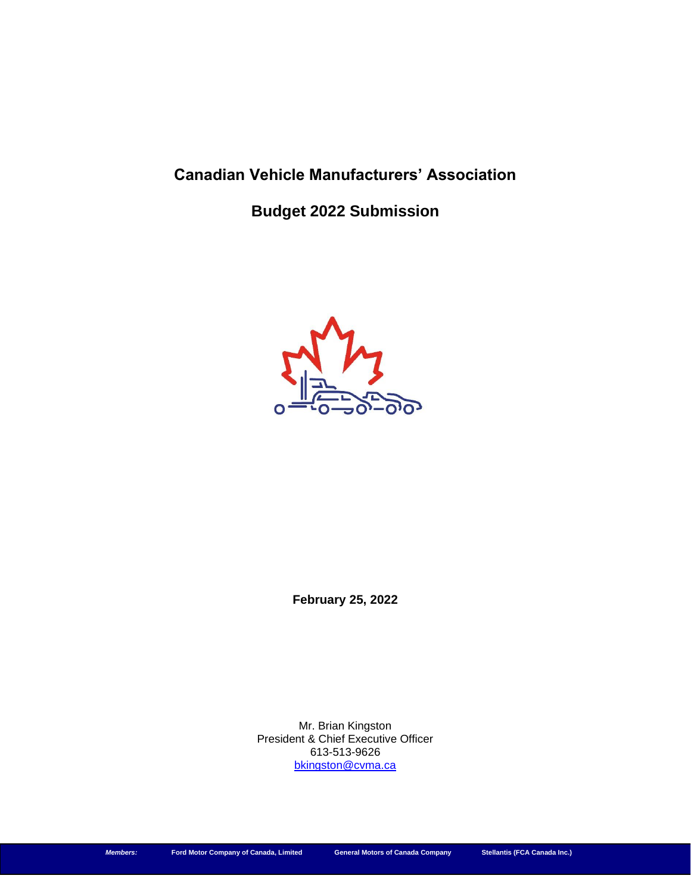# **Canadian Vehicle Manufacturers' Association**

**Budget 2022 Submission**



**February 25, 2022**

Mr. Brian Kingston President & Chief Executive Officer 613-513-9626 [bkingston@cvma.ca](mailto:bkingston@cvma.ca)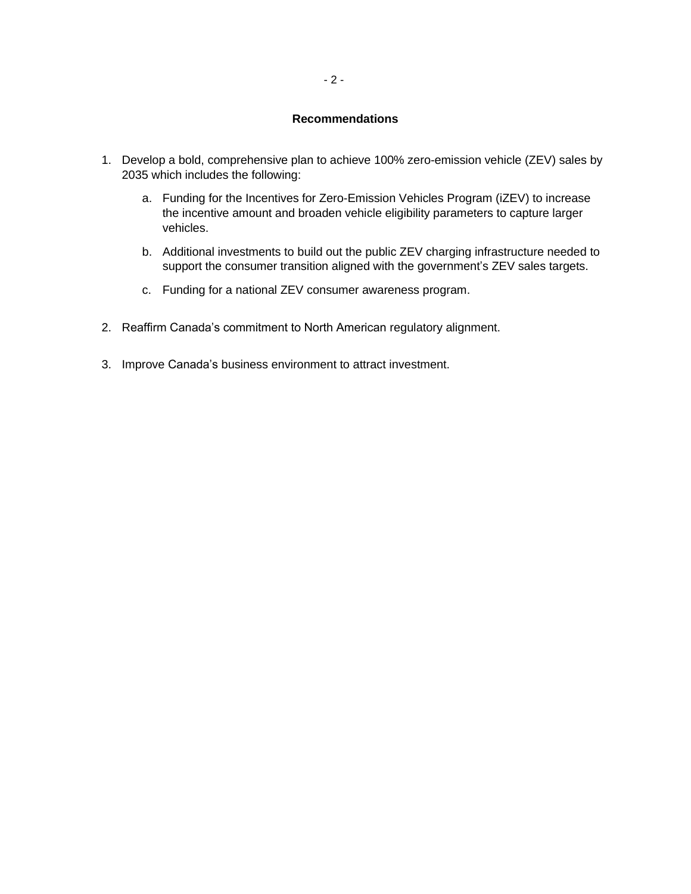## **Recommendations**

- 1. Develop a bold, comprehensive plan to achieve 100% zero-emission vehicle (ZEV) sales by 2035 which includes the following:
	- a. Funding for the Incentives for Zero-Emission Vehicles Program (iZEV) to increase the incentive amount and broaden vehicle eligibility parameters to capture larger vehicles.
	- b. Additional investments to build out the public ZEV charging infrastructure needed to support the consumer transition aligned with the government's ZEV sales targets.
	- c. Funding for a national ZEV consumer awareness program.
- 2. Reaffirm Canada's commitment to North American regulatory alignment.
- 3. Improve Canada's business environment to attract investment.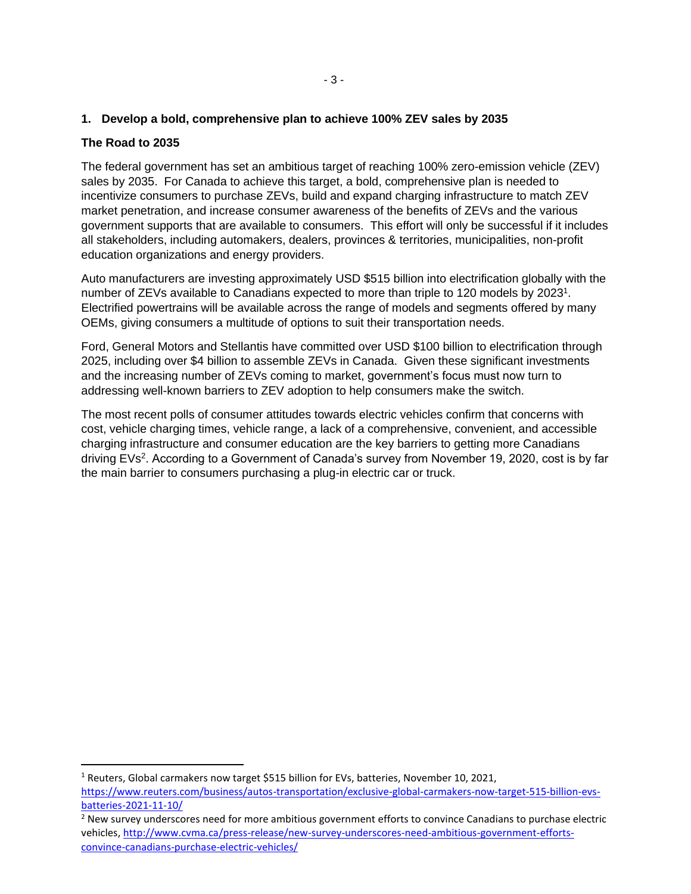## **1. Develop a bold, comprehensive plan to achieve 100% ZEV sales by 2035**

## **The Road to 2035**

The federal government has set an ambitious target of reaching 100% zero-emission vehicle (ZEV) sales by 2035. For Canada to achieve this target, a bold, comprehensive plan is needed to incentivize consumers to purchase ZEVs, build and expand charging infrastructure to match ZEV market penetration, and increase consumer awareness of the benefits of ZEVs and the various government supports that are available to consumers. This effort will only be successful if it includes all stakeholders, including automakers, dealers, provinces & territories, municipalities, non-profit education organizations and energy providers.

Auto manufacturers are investing approximately USD \$515 billion into electrification globally with the number of ZEVs available to Canadians expected to more than triple to 120 models by 2023<sup>1</sup>. Electrified powertrains will be available across the range of models and segments offered by many OEMs, giving consumers a multitude of options to suit their transportation needs.

Ford, General Motors and Stellantis have committed over USD \$100 billion to electrification through 2025, including over \$4 billion to assemble ZEVs in Canada. Given these significant investments and the increasing number of ZEVs coming to market, government's focus must now turn to addressing well-known barriers to ZEV adoption to help consumers make the switch.

The most recent polls of consumer attitudes towards electric vehicles confirm that concerns with cost, vehicle charging times, vehicle range, a lack of a comprehensive, convenient, and accessible charging infrastructure and consumer education are the key barriers to getting more Canadians driving EVs<sup>2</sup>. According to a Government of Canada's survey from November 19, 2020, cost is by far the main barrier to consumers purchasing a plug-in electric car or truck.

<sup>&</sup>lt;sup>1</sup> Reuters, Global carmakers now target \$515 billion for EVs, batteries, November 10, 2021, [https://www.reuters.com/business/autos-transportation/exclusive-global-carmakers-now-target-515-billion-evs](https://www.reuters.com/business/autos-transportation/exclusive-global-carmakers-now-target-515-billion-evs-batteries-2021-11-10/)[batteries-2021-11-10/](https://www.reuters.com/business/autos-transportation/exclusive-global-carmakers-now-target-515-billion-evs-batteries-2021-11-10/)

<sup>&</sup>lt;sup>2</sup> New survey underscores need for more ambitious government efforts to convince Canadians to purchase electric vehicles, [http://www.cvma.ca/press-release/new-survey-underscores-need-ambitious-government-efforts](http://www.cvma.ca/press-release/new-survey-underscores-need-ambitious-government-efforts-convince-canadians-purchase-electric-vehicles/)[convince-canadians-purchase-electric-vehicles/](http://www.cvma.ca/press-release/new-survey-underscores-need-ambitious-government-efforts-convince-canadians-purchase-electric-vehicles/)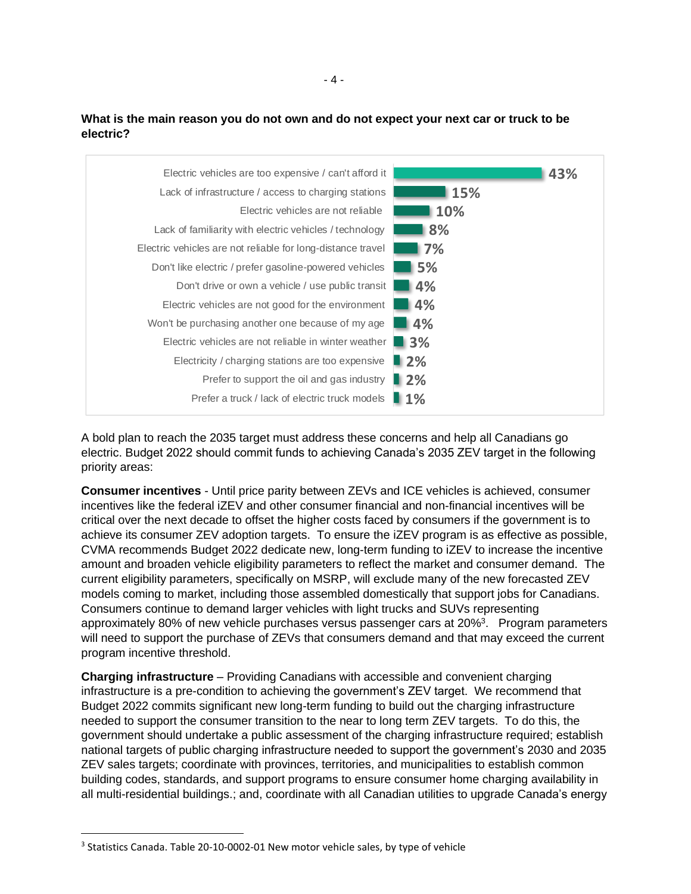



A bold plan to reach the 2035 target must address these concerns and help all Canadians go electric. Budget 2022 should commit funds to achieving Canada's 2035 ZEV target in the following priority areas:

**Consumer incentives** - Until price parity between ZEVs and ICE vehicles is achieved, consumer incentives like the federal iZEV and other consumer financial and non-financial incentives will be critical over the next decade to offset the higher costs faced by consumers if the government is to achieve its consumer ZEV adoption targets. To ensure the iZEV program is as effective as possible, CVMA recommends Budget 2022 dedicate new, long-term funding to iZEV to increase the incentive amount and broaden vehicle eligibility parameters to reflect the market and consumer demand. The current eligibility parameters, specifically on MSRP, will exclude many of the new forecasted ZEV models coming to market, including those assembled domestically that support jobs for Canadians. Consumers continue to demand larger vehicles with light trucks and SUVs representing approximately 80% of new vehicle purchases versus passenger cars at 20%<sup>3</sup>. Program parameters will need to support the purchase of ZEVs that consumers demand and that may exceed the current program incentive threshold.

**Charging infrastructure** – Providing Canadians with accessible and convenient charging infrastructure is a pre-condition to achieving the government's ZEV target. We recommend that Budget 2022 commits significant new long-term funding to build out the charging infrastructure needed to support the consumer transition to the near to long term ZEV targets. To do this, the government should undertake a public assessment of the charging infrastructure required; establish national targets of public charging infrastructure needed to support the government's 2030 and 2035 ZEV sales targets; coordinate with provinces, territories, and municipalities to establish common building codes, standards, and support programs to ensure consumer home charging availability in all multi-residential buildings.; and, coordinate with all Canadian utilities to upgrade Canada's energy

<sup>&</sup>lt;sup>3</sup> Statistics Canada. Table 20-10-0002-01 New motor vehicle sales, by type of vehicle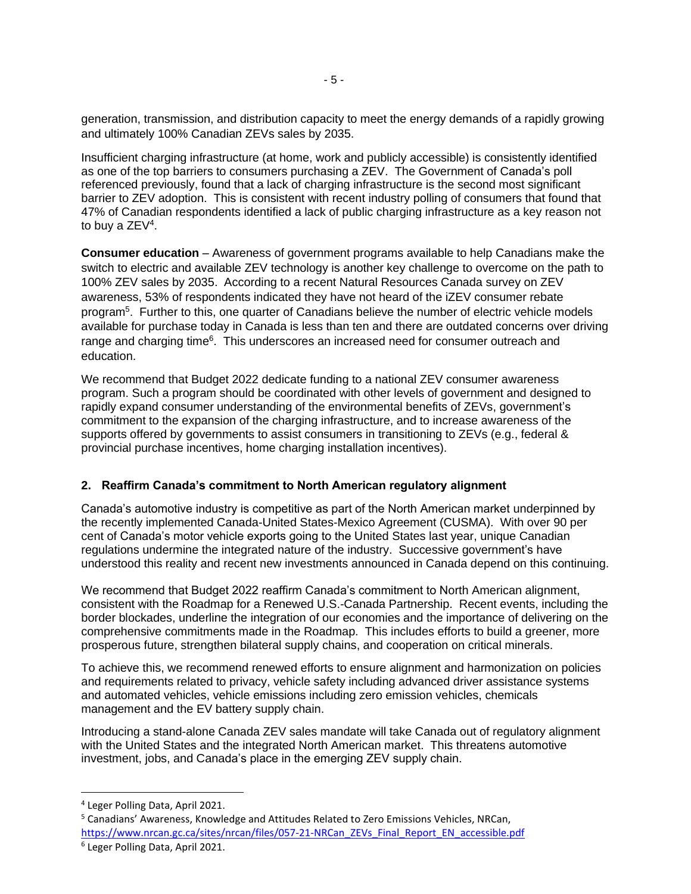generation, transmission, and distribution capacity to meet the energy demands of a rapidly growing and ultimately 100% Canadian ZEVs sales by 2035.

Insufficient charging infrastructure (at home, work and publicly accessible) is consistently identified as one of the top barriers to consumers purchasing a ZEV. The Government of Canada's poll referenced previously, found that a lack of charging infrastructure is the second most significant barrier to ZEV adoption. This is consistent with recent industry polling of consumers that found that 47% of Canadian respondents identified a lack of public charging infrastructure as a key reason not to buy a ZEV<sup>4</sup>.

**Consumer education** – Awareness of government programs available to help Canadians make the switch to electric and available ZEV technology is another key challenge to overcome on the path to 100% ZEV sales by 2035. According to a recent Natural Resources Canada survey on ZEV awareness, 53% of respondents indicated they have not heard of the iZEV consumer rebate program<sup>5</sup>. Further to this, one quarter of Canadians believe the number of electric vehicle models available for purchase today in Canada is less than ten and there are outdated concerns over driving range and charging time<sup>6</sup>. This underscores an increased need for consumer outreach and education.

We recommend that Budget 2022 dedicate funding to a national ZEV consumer awareness program. Such a program should be coordinated with other levels of government and designed to rapidly expand consumer understanding of the environmental benefits of ZEVs, government's commitment to the expansion of the charging infrastructure, and to increase awareness of the supports offered by governments to assist consumers in transitioning to ZEVs (e.g., federal & provincial purchase incentives, home charging installation incentives).

## **2. Reaffirm Canada's commitment to North American regulatory alignment**

Canada's automotive industry is competitive as part of the North American market underpinned by the recently implemented Canada-United States-Mexico Agreement (CUSMA). With over 90 per cent of Canada's motor vehicle exports going to the United States last year, unique Canadian regulations undermine the integrated nature of the industry. Successive government's have understood this reality and recent new investments announced in Canada depend on this continuing.

We recommend that Budget 2022 reaffirm Canada's commitment to North American alignment, consistent with the Roadmap for a Renewed U.S.-Canada Partnership. Recent events, including the border blockades, underline the integration of our economies and the importance of delivering on the comprehensive commitments made in the Roadmap. This includes efforts to build a greener, more prosperous future, strengthen bilateral supply chains, and cooperation on critical minerals.

To achieve this, we recommend renewed efforts to ensure alignment and harmonization on policies and requirements related to privacy, vehicle safety including advanced driver assistance systems and automated vehicles, vehicle emissions including zero emission vehicles, chemicals management and the EV battery supply chain.

Introducing a stand-alone Canada ZEV sales mandate will take Canada out of regulatory alignment with the United States and the integrated North American market. This threatens automotive investment, jobs, and Canada's place in the emerging ZEV supply chain.

<sup>4</sup> Leger Polling Data, April 2021.

<sup>5</sup> Canadians' Awareness, Knowledge and Attitudes Related to Zero Emissions Vehicles, NRCan, [https://www.nrcan.gc.ca/sites/nrcan/files/057-21-NRCan\\_ZEVs\\_Final\\_Report\\_EN\\_accessible.pdf](https://www.nrcan.gc.ca/sites/nrcan/files/057-21-NRCan_ZEVs_Final_Report_EN_accessible.pdf)

<sup>6</sup> Leger Polling Data, April 2021.